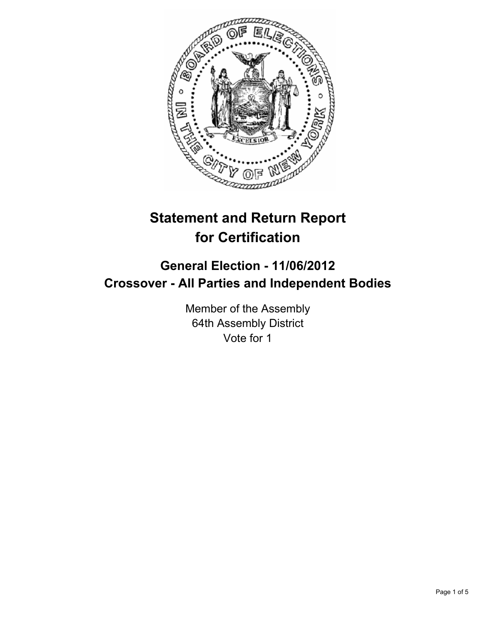

# **Statement and Return Report for Certification**

## **General Election - 11/06/2012 Crossover - All Parties and Independent Bodies**

Member of the Assembly 64th Assembly District Vote for 1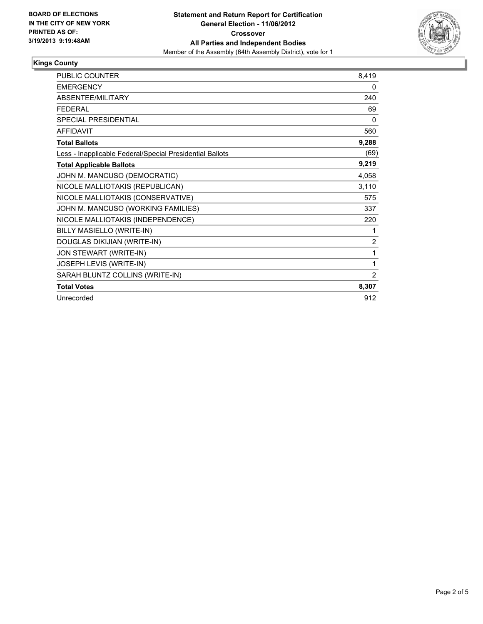

#### **Kings County**

| PUBLIC COUNTER                                           | 8,419          |
|----------------------------------------------------------|----------------|
| <b>EMERGENCY</b>                                         | 0              |
| <b>ABSENTEE/MILITARY</b>                                 | 240            |
| <b>FEDERAL</b>                                           | 69             |
| SPECIAL PRESIDENTIAL                                     | $\Omega$       |
| <b>AFFIDAVIT</b>                                         | 560            |
| <b>Total Ballots</b>                                     | 9,288          |
| Less - Inapplicable Federal/Special Presidential Ballots | (69)           |
| <b>Total Applicable Ballots</b>                          | 9,219          |
| JOHN M. MANCUSO (DEMOCRATIC)                             | 4,058          |
| NICOLE MALLIOTAKIS (REPUBLICAN)                          | 3,110          |
| NICOLE MALLIOTAKIS (CONSERVATIVE)                        | 575            |
| JOHN M. MANCUSO (WORKING FAMILIES)                       | 337            |
| NICOLE MALLIOTAKIS (INDEPENDENCE)                        | 220            |
| BILLY MASIELLO (WRITE-IN)                                | 1              |
| DOUGLAS DIKIJIAN (WRITE-IN)                              | $\overline{2}$ |
| JON STEWART (WRITE-IN)                                   | 1              |
| JOSEPH LEVIS (WRITE-IN)                                  | 1              |
| SARAH BLUNTZ COLLINS (WRITE-IN)                          | $\overline{2}$ |
| <b>Total Votes</b>                                       | 8,307          |
| Unrecorded                                               | 912            |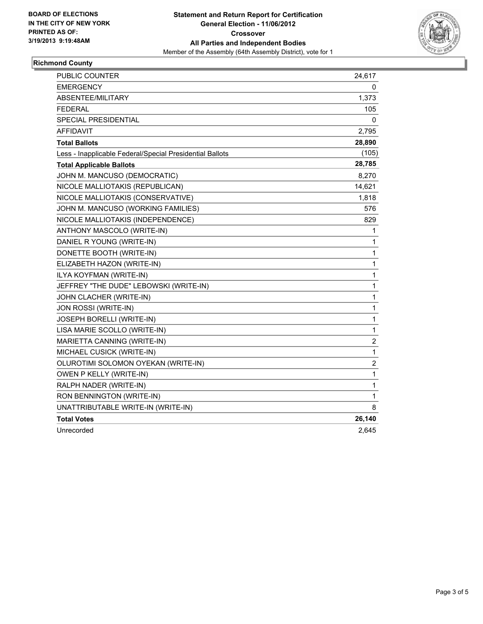

### **Richmond County**

| <b>PUBLIC COUNTER</b>                                    | 24,617         |
|----------------------------------------------------------|----------------|
| <b>EMERGENCY</b>                                         | 0              |
| <b>ABSENTEE/MILITARY</b>                                 | 1,373          |
| <b>FEDERAL</b>                                           | 105            |
| SPECIAL PRESIDENTIAL                                     | 0              |
| <b>AFFIDAVIT</b>                                         | 2,795          |
| <b>Total Ballots</b>                                     | 28,890         |
| Less - Inapplicable Federal/Special Presidential Ballots | (105)          |
| <b>Total Applicable Ballots</b>                          | 28,785         |
| JOHN M. MANCUSO (DEMOCRATIC)                             | 8,270          |
| NICOLE MALLIOTAKIS (REPUBLICAN)                          | 14,621         |
| NICOLE MALLIOTAKIS (CONSERVATIVE)                        | 1,818          |
| JOHN M. MANCUSO (WORKING FAMILIES)                       | 576            |
| NICOLE MALLIOTAKIS (INDEPENDENCE)                        | 829            |
| ANTHONY MASCOLO (WRITE-IN)                               | 1              |
| DANIEL R YOUNG (WRITE-IN)                                | 1              |
| DONETTE BOOTH (WRITE-IN)                                 | 1              |
| ELIZABETH HAZON (WRITE-IN)                               | 1              |
| ILYA KOYFMAN (WRITE-IN)                                  | 1              |
| JEFFREY "THE DUDE" LEBOWSKI (WRITE-IN)                   | $\mathbf{1}$   |
| JOHN CLACHER (WRITE-IN)                                  | 1              |
| JON ROSSI (WRITE-IN)                                     | 1              |
| <b>JOSEPH BORELLI (WRITE-IN)</b>                         | 1              |
| LISA MARIE SCOLLO (WRITE-IN)                             | 1              |
| MARIETTA CANNING (WRITE-IN)                              | 2              |
| MICHAEL CUSICK (WRITE-IN)                                | 1              |
| OLUROTIMI SOLOMON OYEKAN (WRITE-IN)                      | $\overline{c}$ |
| OWEN P KELLY (WRITE-IN)                                  | 1              |
| RALPH NADER (WRITE-IN)                                   | 1              |
| RON BENNINGTON (WRITE-IN)                                | 1              |
| UNATTRIBUTABLE WRITE-IN (WRITE-IN)                       | 8              |
| <b>Total Votes</b>                                       | 26,140         |
| Unrecorded                                               | 2,645          |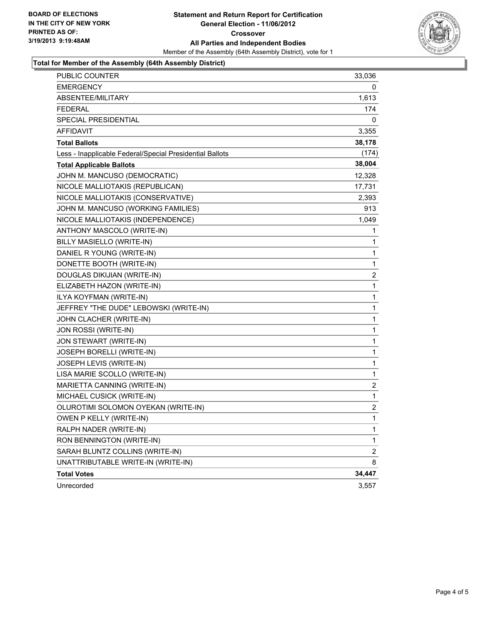

#### **Total for Member of the Assembly (64th Assembly District)**

| PUBLIC COUNTER                                           | 33,036         |
|----------------------------------------------------------|----------------|
| <b>EMERGENCY</b>                                         | 0              |
| ABSENTEE/MILITARY                                        | 1,613          |
| <b>FEDERAL</b>                                           | 174            |
| <b>SPECIAL PRESIDENTIAL</b>                              | 0              |
| AFFIDAVIT                                                | 3,355          |
| <b>Total Ballots</b>                                     | 38,178         |
| Less - Inapplicable Federal/Special Presidential Ballots | (174)          |
| <b>Total Applicable Ballots</b>                          | 38,004         |
| JOHN M. MANCUSO (DEMOCRATIC)                             | 12,328         |
| NICOLE MALLIOTAKIS (REPUBLICAN)                          | 17,731         |
| NICOLE MALLIOTAKIS (CONSERVATIVE)                        | 2,393          |
| JOHN M. MANCUSO (WORKING FAMILIES)                       | 913            |
| NICOLE MALLIOTAKIS (INDEPENDENCE)                        | 1,049          |
| ANTHONY MASCOLO (WRITE-IN)                               | 1              |
| BILLY MASIELLO (WRITE-IN)                                | 1              |
| DANIEL R YOUNG (WRITE-IN)                                | 1              |
| DONETTE BOOTH (WRITE-IN)                                 | 1              |
| DOUGLAS DIKIJIAN (WRITE-IN)                              | 2              |
| ELIZABETH HAZON (WRITE-IN)                               | 1              |
| ILYA KOYFMAN (WRITE-IN)                                  | 1              |
| JEFFREY "THE DUDE" LEBOWSKI (WRITE-IN)                   | 1              |
| JOHN CLACHER (WRITE-IN)                                  | 1              |
| JON ROSSI (WRITE-IN)                                     | 1              |
| JON STEWART (WRITE-IN)                                   | 1              |
| JOSEPH BORELLI (WRITE-IN)                                | 1              |
| JOSEPH LEVIS (WRITE-IN)                                  | 1              |
| LISA MARIE SCOLLO (WRITE-IN)                             | 1              |
| MARIETTA CANNING (WRITE-IN)                              | 2              |
| MICHAEL CUSICK (WRITE-IN)                                | 1              |
| OLUROTIMI SOLOMON OYEKAN (WRITE-IN)                      | 2              |
| OWEN P KELLY (WRITE-IN)                                  | 1              |
| RALPH NADER (WRITE-IN)                                   | 1              |
| RON BENNINGTON (WRITE-IN)                                | 1              |
| SARAH BLUNTZ COLLINS (WRITE-IN)                          | $\overline{c}$ |
| UNATTRIBUTABLE WRITE-IN (WRITE-IN)                       | 8              |
| <b>Total Votes</b>                                       | 34,447         |
| Unrecorded                                               | 3,557          |